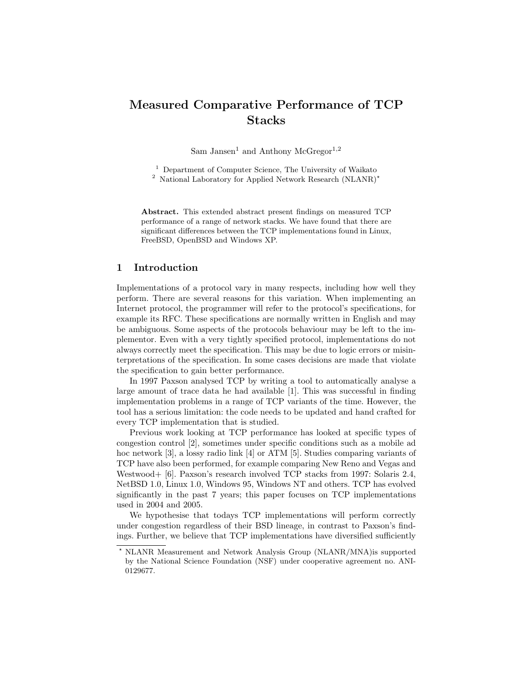# Measured Comparative Performance of TCP Stacks

Sam Jansen<sup>1</sup> and Anthony McGregor<sup>1,2</sup>

<sup>1</sup> Department of Computer Science, The University of Waikato <sup>2</sup> National Laboratory for Applied Network Research (NLANR)<sup>\*</sup>

Abstract. This extended abstract present findings on measured TCP performance of a range of network stacks. We have found that there are significant differences between the TCP implementations found in Linux, FreeBSD, OpenBSD and Windows XP.

### 1 Introduction

Implementations of a protocol vary in many respects, including how well they perform. There are several reasons for this variation. When implementing an Internet protocol, the programmer will refer to the protocol's specifications, for example its RFC. These specifications are normally written in English and may be ambiguous. Some aspects of the protocols behaviour may be left to the implementor. Even with a very tightly specified protocol, implementations do not always correctly meet the specification. This may be due to logic errors or misinterpretations of the specification. In some cases decisions are made that violate the specification to gain better performance.

In 1997 Paxson analysed TCP by writing a tool to automatically analyse a large amount of trace data he had available [1]. This was successful in finding implementation problems in a range of TCP variants of the time. However, the tool has a serious limitation: the code needs to be updated and hand crafted for every TCP implementation that is studied.

Previous work looking at TCP performance has looked at specific types of congestion control [2], sometimes under specific conditions such as a mobile ad hoc network [3], a lossy radio link [4] or ATM [5]. Studies comparing variants of TCP have also been performed, for example comparing New Reno and Vegas and Westwood+ [6]. Paxson's research involved TCP stacks from 1997: Solaris 2.4, NetBSD 1.0, Linux 1.0, Windows 95, Windows NT and others. TCP has evolved significantly in the past 7 years; this paper focuses on TCP implementations used in 2004 and 2005.

We hypothesise that todays TCP implementations will perform correctly under congestion regardless of their BSD lineage, in contrast to Paxson's findings. Further, we believe that TCP implementations have diversified sufficiently

<sup>?</sup> NLANR Measurement and Network Analysis Group (NLANR/MNA)is supported by the National Science Foundation (NSF) under cooperative agreement no. ANI-0129677.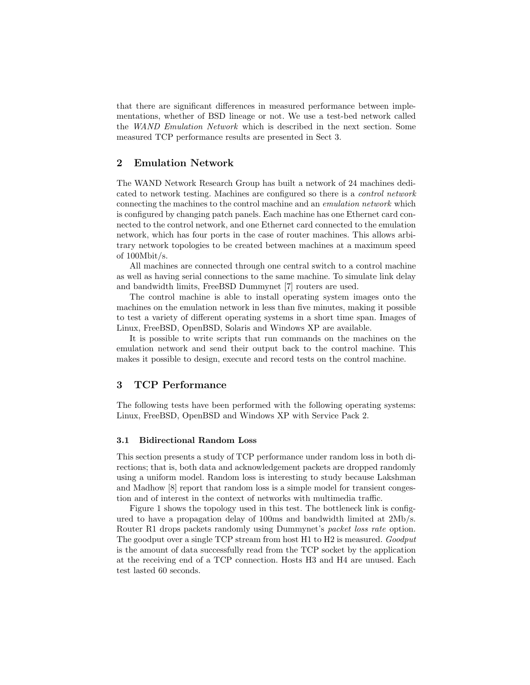that there are significant differences in measured performance between implementations, whether of BSD lineage or not. We use a test-bed network called the WAND Emulation Network which is described in the next section. Some measured TCP performance results are presented in Sect 3.

## 2 Emulation Network

The WAND Network Research Group has built a network of 24 machines dedicated to network testing. Machines are configured so there is a control network connecting the machines to the control machine and an emulation network which is configured by changing patch panels. Each machine has one Ethernet card connected to the control network, and one Ethernet card connected to the emulation network, which has four ports in the case of router machines. This allows arbitrary network topologies to be created between machines at a maximum speed of 100Mbit/s.

All machines are connected through one central switch to a control machine as well as having serial connections to the same machine. To simulate link delay and bandwidth limits, FreeBSD Dummynet [7] routers are used.

The control machine is able to install operating system images onto the machines on the emulation network in less than five minutes, making it possible to test a variety of different operating systems in a short time span. Images of Linux, FreeBSD, OpenBSD, Solaris and Windows XP are available.

It is possible to write scripts that run commands on the machines on the emulation network and send their output back to the control machine. This makes it possible to design, execute and record tests on the control machine.

## 3 TCP Performance

The following tests have been performed with the following operating systems: Linux, FreeBSD, OpenBSD and Windows XP with Service Pack 2.

#### 3.1 Bidirectional Random Loss

This section presents a study of TCP performance under random loss in both directions; that is, both data and acknowledgement packets are dropped randomly using a uniform model. Random loss is interesting to study because Lakshman and Madhow [8] report that random loss is a simple model for transient congestion and of interest in the context of networks with multimedia traffic.

Figure 1 shows the topology used in this test. The bottleneck link is configured to have a propagation delay of 100ms and bandwidth limited at 2Mb/s. Router R1 drops packets randomly using Dummynet's packet loss rate option. The goodput over a single TCP stream from host H1 to H2 is measured. Goodput is the amount of data successfully read from the TCP socket by the application at the receiving end of a TCP connection. Hosts H3 and H4 are unused. Each test lasted 60 seconds.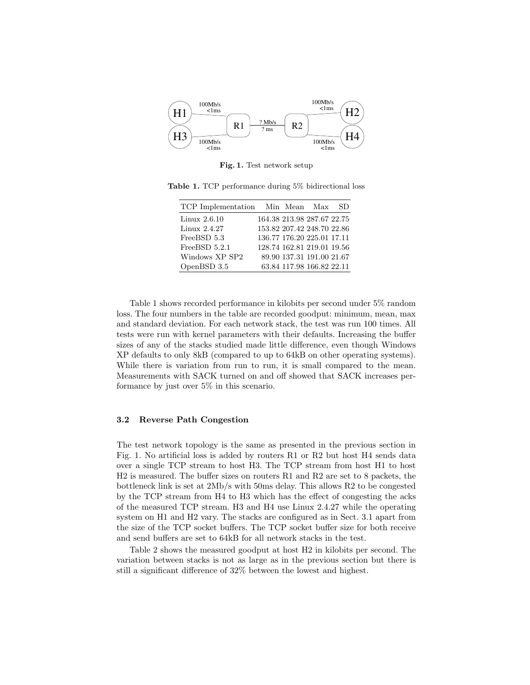

Fig. 1. Test network setup

| TCP Implementation Min Mean Max |  |                            | SD. |
|---------------------------------|--|----------------------------|-----|
| Linux 2.6.10                    |  | 164.38 213.98 287.67 22.75 |     |
| Linux 2.4.27                    |  | 153.82 207.42 248.70 22.86 |     |
| FreeBSD 5.3                     |  | 136.77 176.20 225.01 17.11 |     |
| FreeBSD $5.2.1$                 |  | 128.74 162.81 219.01 19.56 |     |
| Windows XP SP2                  |  | 89.90 137.31 191.00 21.67  |     |
| OpenBSD 3.5                     |  | 63.84 117.98 166.82 22.11  |     |

Table 1. TCP performance during 5% bidirectional loss

Table 1 shows recorded performance in kilobits per second under 5% random loss. The four numbers in the table are recorded goodput: minimum, mean, max and standard deviation. For each network stack, the test was run 100 times. All tests were run with kernel parameters with their defaults. Increasing the buffer sizes of any of the stacks studied made little difference, even though Windows XP defaults to only 8kB (compared to up to 64kB on other operating systems). While there is variation from run to run, it is small compared to the mean. Measurements with SACK turned on and off showed that SACK increases performance by just over 5% in this scenario.

#### 3.2 Reverse Path Congestion

The test network topology is the same as presented in the previous section in Fig. 1. No artificial loss is added by routers R1 or R2 but host H4 sends data over a single TCP stream to host H3. The TCP stream from host H1 to host H2 is measured. The buffer sizes on routers R1 and R2 are set to 8 packets, the bottleneck link is set at 2Mb/s with 50ms delay. This allows R2 to be congested by the TCP stream from H4 to H3 which has the effect of congesting the acks of the measured TCP stream. H3 and H4 use Linux 2.4.27 while the operating system on H1 and H2 vary. The stacks are configured as in Sect. 3.1 apart from the size of the TCP socket buffers. The TCP socket buffer size for both receive and send buffers are set to 64kB for all network stacks in the test.

Table 2 shows the measured goodput at host H2 in kilobits per second. The variation between stacks is not as large as in the previous section but there is still a significant difference of 32% between the lowest and highest.